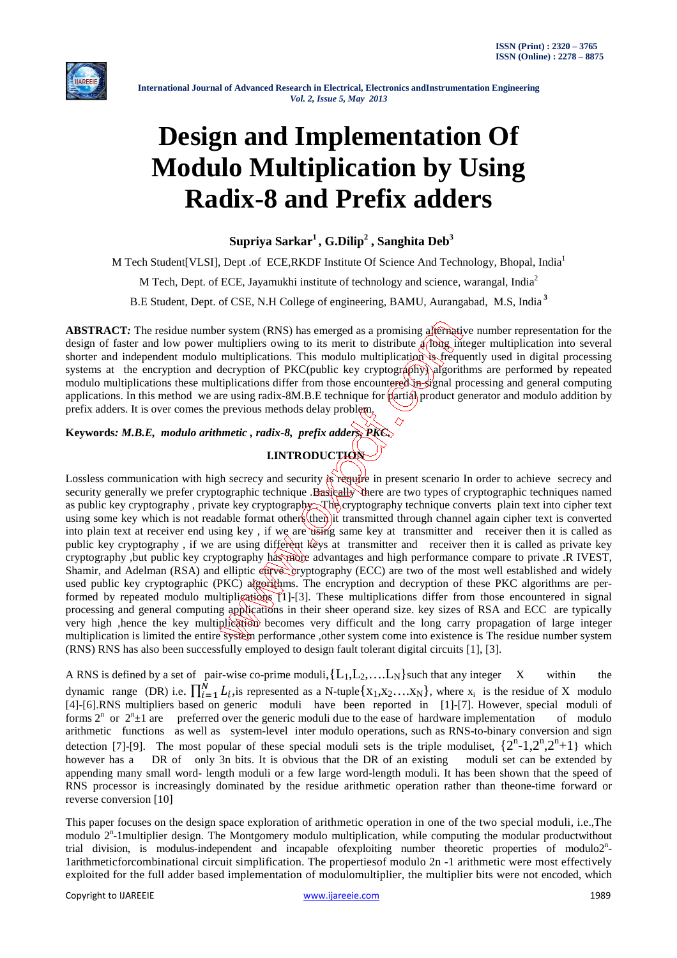

# **Design and Implementation Of Modulo Multiplication by Using Radix-8 and Prefix adders**

**Supriya Sarkar<sup>1</sup>, G.Dilip<sup>2</sup> , Sanghita Deb<sup>3</sup>**

M Tech Student[VLSI], Dept .of ECE,RKDF Institute Of Science And Technology, Bhopal, India<sup>1</sup>

M Tech, Dept. of ECE, Jayamukhi institute of technology and science, warangal, India<sup>2</sup>

B.E Student, Dept. of CSE, N.H College of engineering, BAMU, Aurangabad, M.S, India**<sup>3</sup>**

**ABSTRACT***:* The residue number system (RNS) has emerged as a promising alternative number representation for the design of faster and low power multipliers owing to its merit to distribute a flong integer multiplication into several shorter and independent modulo multiplications. This modulo multiplication is frequently used in digital processing systems at the encryption and decryption of PKC(public key cryptography) algorithms are performed by repeated modulo multiplications these multiplications differ from those encountered in signal processing and general computing applications. In this method we are using radix-8M.B.E technique for partial product generator and modulo addition by prefix adders. It is over comes the previous methods delay problem.

**Keywords***: M.B.E, modulo arithmetic , radix-8, prefix adders, PKC.*

# **I.INTRODUCTION**

Lossless communication with high secrecy and security is require in present scenario In order to achieve secrecy and security generally we prefer cryptographic technique .Basically there are two types of cryptographic techniques named as public key cryptography, private key cryptography The cryptography technique converts plain text into cipher text using some key which is not readable format others then it transmitted through channel again cipher text is converted into plain text at receiver end using key , if we are using same key at transmitter and receiver then it is called as public key cryptography, if we are using different keys at transmitter and receiver then it is called as private key cryptography ,but public key cryptography has more advantages and high performance compare to private .R IVEST, Shamir, and Adelman (RSA) and elliptic curve cryptography (ECC) are two of the most well established and widely used public key cryptographic (PKC) algorithms. The encryption and decryption of these PKC algorithms are performed by repeated modulo multiplications  $[1]-[3]$ . These multiplications differ from those encountered in signal processing and general computing applications in their sheer operand size. key sizes of RSA and ECC are typically very high ,hence the key multiplication becomes very difficult and the long carry propagation of large integer multiplication is limited the entire system performance ,other system come into existence is The residue number system (RNS) RNS has also been successfully employed to design fault tolerant digital circuits [1], [3].

A RNS is defined by a set of pair-wise co-prime moduli,  $\{L_1, L_2, \ldots, L_N\}$  such that any integer X within the dynamic range (DR) i.e.  $\prod_{i=1}^{N} L_i$ , is represented as a N-tuple  $\{x_1, x_2, \ldots, x_N\}$ , where  $x_i$  is the residue of X modulo [4]-[6].RNS multipliers based on generic moduli have been reported in [1]-[7]. However, special moduli of forms  $2^n$  or  $2^n \pm 1$  are preferred over the generic moduli due to the ease of hardware implementation of modulo arithmetic functions as well as system-level inter modulo operations, such as RNS-to-binary conversion and sign detection [7]-[9]. The most popular of these special moduli sets is the triple moduliset,  $\{2^n-1,2^n,2^n+1\}$  which however has a DR of only 3n bits. It is obvious that the DR of an existing moduli set can be extended by appending many small word- length moduli or a few large word-length moduli. It has been shown that the speed of RNS processor is increasingly dominated by the residue arithmetic operation rather than theone-time forward or reverse conversion [10]

This paper focuses on the design space exploration of arithmetic operation in one of the two special moduli, i.e.,The modulo  $2<sup>n</sup>$ -1 multiplier design. The Montgomery modulo multiplication, while computing the modular productwithout trial division, is modulus-independent and incapable of exploiting number theoretic properties of modulo2<sup>n</sup>-1arithmeticforcombinational circuit simplification. The propertiesof modulo 2n -1 arithmetic were most effectively exploited for the full adder based implementation of modulomultiplier, the multiplier bits were not encoded, which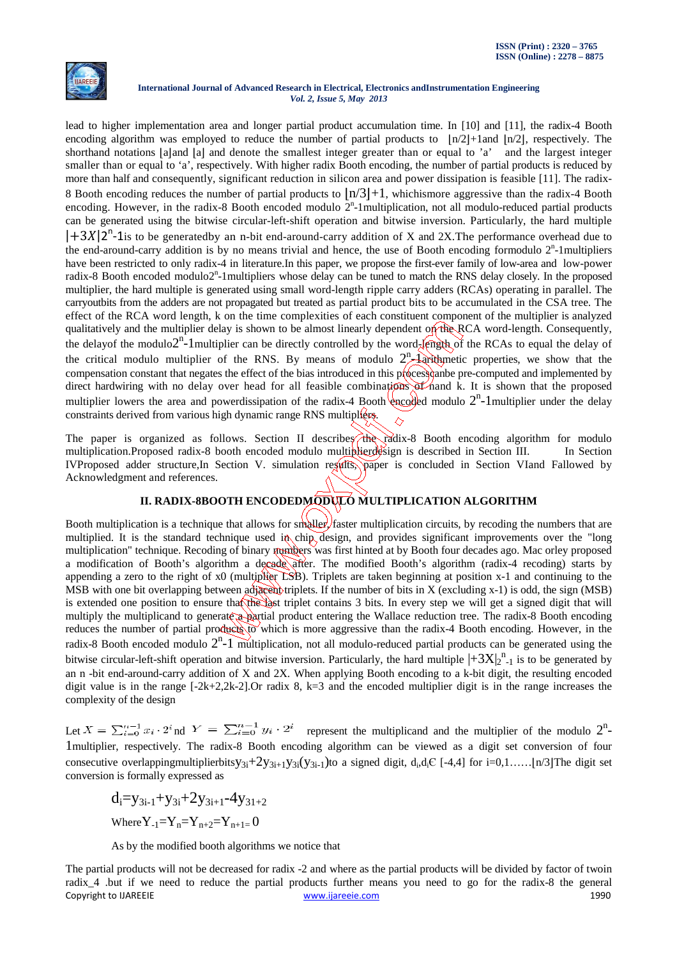

lead to higher implementation area and longer partial product accumulation time. In [10] and [11], the radix-4 Booth encoding algorithm was employed to reduce the number of partial products to  $\lfloor n/2 \rfloor + 1$ and  $\lfloor n/2 \rfloor$ , respectively. The shorthand notations  $|a|$  and  $|a|$  and denote the smallest integer greater than or equal to 'a' and the largest integer smaller than or equal to 'a', respectively. With higher radix Booth encoding, the number of partial products is reduced by more than half and consequently, significant reduction in silicon area and power dissipation is feasible [11]. The radix-8 Booth encoding reduces the number of partial products to  $\ln/3$  +1, whichismore aggressive than the radix-4 Booth encoding. However, in the radix-8 Booth encoded modulo  $2<sup>n</sup>$ -1multiplication, not all modulo-reduced partial products can be generated using the bitwise circular-left-shift operation and bitwise inversion. Particularly, the hard multiple |+3X|2<sup>n</sup>-1is to be generatedby an n-bit end-around-carry addition of X and 2X. The performance overhead due to the end-around-carry addition is by no means trivial and hence, the use of Booth encoding formodulo  $2<sup>n</sup>$ -1multipliers have been restricted to only radix-4 in literature.In this paper, we propose the first-ever family of low-area and low-power radix-8 Booth encoded modulo2<sup>n</sup>-1multipliers whose delay can be tuned to match the RNS delay closely. In the proposed multiplier, the hard multiple is generated using small word-length ripple carry adders (RCAs) operating in parallel. The carryoutbits from the adders are not propagated but treated as partial product bits to be accumulated in the CSA tree. The effect of the RCA word length, k on the time complexities of each constituent component of the multiplier is analyzed qualitatively and the multiplier delay is shown to be almost linearly dependent on the RCA word-length. Consequently, the delayof the modulo2<sup>n</sup>-1multiplier can be directly controlled by the word-length of the RCAs to equal the delay of the critical modulo multiplier of the RNS. By means of modulo  $2^n$  larithmetic properties, we show that the compensation constant that negates the effect of the bias introduced in this process can be pre-computed and implemented by direct hardwiring with no delay over head for all feasible combinations of nand k. It is shown that the proposed multiplier lowers the area and powerdissipation of the radix-4 Booth encoded modulo  $2^n$ -1 multiplier under the delay constraints derived from various high dynamic range RNS multipliers.

The paper is organized as follows. Section II describes the radix-8 Booth encoding algorithm for modulo multiplication.Proposed radix-8 booth encoded modulo multiplierdesign is described in Section III. In Section IVProposed adder structure,In Section V. simulation results, paper is concluded in Section VIand Fallowed by Acknowledgment and references.

# **II. RADIX-8BOOTH ENCODEDMODULO MULTIPLICATION ALGORITHM**

Booth multiplication is a technique that allows for smaller, faster multiplication circuits, by recoding the numbers that are multiplied. It is the standard technique used in chip design, and provides significant improvements over the "long multiplication" technique. Recoding of binary numbers was first hinted at by Booth four decades ago. Mac orley proposed a modification of Booth's algorithm a decade after. The modified Booth's algorithm (radix-4 recoding) starts by appending a zero to the right of x0 (multiplier LSB). Triplets are taken beginning at position x-1 and continuing to the MSB with one bit overlapping between adjacent triplets. If the number of bits in  $X$  (excluding x-1) is odd, the sign (MSB) is extended one position to ensure that the last triplet contains 3 bits. In every step we will get a signed digit that will multiply the multiplicand to generate a partial product entering the Wallace reduction tree. The radix-8 Booth encoding reduces the number of partial products to which is more aggressive than the radix-4 Booth encoding. However, in the radix-8 Booth encoded modulo  $2^n$ -1 multiplication, not all modulo-reduced partial products can be generated using the bitwise circular-left-shift operation and bitwise inversion. Particularly, the hard multiple  $\left|+3X\right|_2^{n}$ -1 is to be generated by an n -bit end-around-carry addition of X and 2X. When applying Booth encoding to a k-bit digit, the resulting encoded digit value is in the range  $[-2k+2,2k-2]$ . Or radix 8,  $k=3$  and the encoded multiplier digit is in the range increases the complexity of the design

Let  $X = \sum_{i=0}^{n-1} x_i \cdot 2^i$  nd  $Y = \sum_{i=0}^{n-1} y_i \cdot 2^i$  represent the multiplicand and the multiplier of the modulo  $2^n$ -1multiplier, respectively. The radix-8 Booth encoding algorithm can be viewed as a digit set conversion of four consecutive overlappingmultiplierbits $y_{3i}+2y_{3i+1}y_{3i}(y_{3i-1})$ to a signed digit, d<sub>i</sub>,d<sub>i</sub>C [-4,4] for i=0,1......[n/3]The digit set conversion is formally expressed as

$$
\begin{aligned} d_i = & y_{3i-1} + y_{3i} + 2y_{3i+1} - 4y_{31+2} \\ & \text{Where } Y_{-1} = Y_n = Y_{n+2} = Y_{n+1} = 0 \end{aligned}
$$

As by the modified booth algorithms we notice that

Copyright to IJAREEIE www.ijareeie.com 1990 The partial products will not be decreased for radix -2 and where as the partial products will be divided by factor of twoin radix\_4 .but if we need to reduce the partial products further means you need to go for the radix-8 the general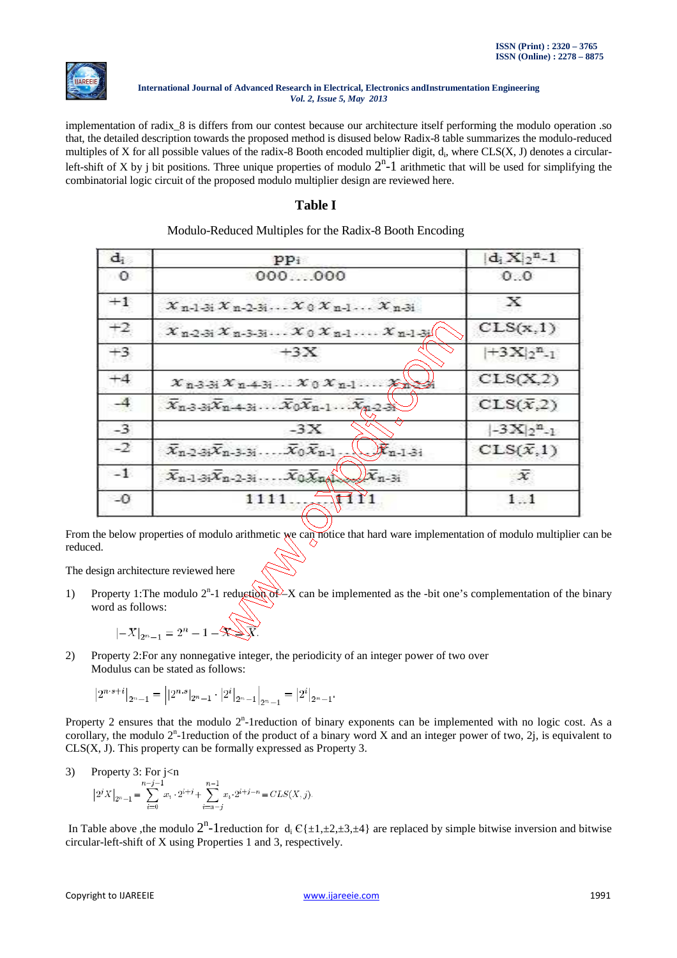

implementation of radix\_8 is differs from our contest because our architecture itself performing the modulo operation .so that, the detailed description towards the proposed method is disused below Radix-8 table summarizes the modulo-reduced multiples of X for all possible values of the radix-8 Booth encoded multiplier digit, d<sub>i</sub>, where CLS(X, J) denotes a circularleft-shift of X by j bit positions. Three unique properties of modulo  $2^n$ -1 arithmetic that will be used for simplifying the combinatorial logic circuit of the proposed modulo multiplier design are reviewed here.

# **Table I**

| $\mathbf{d}_i$ | $pp_1$                                                                                              | $ {\bf d}_{\rm i}\,{\bf X}_2^{\rm n}\hspace{-0.04cm}-\hspace{-0.04cm}1$ |  |  |
|----------------|-----------------------------------------------------------------------------------------------------|-------------------------------------------------------------------------|--|--|
| -0             | $000 - 000$                                                                                         | 0.0                                                                     |  |  |
| $+1$           | $X_{n-1}$ $X_{n-2}$ $X_0$ $X_{n-1}$ $X_{n-3}$                                                       | x                                                                       |  |  |
| $+2,$          | $X_{n-2-3}X_{n-3-3},\ldots X_0X_{n-1}\ldots X_{n-1-3}$                                              | CLS(x,1)                                                                |  |  |
| $+3$           | $+3X$                                                                                               | $ +3X _2^{n}$ .                                                         |  |  |
| $+4$           | $x_{n-3-3}, x_{n-4-3}, \ldots x_0 x_{n-1} \ldots x_n \geq x$                                        | CLS(X,2)                                                                |  |  |
| $-4$           | $\bar{X}_{n-3-3}\bar{X}_{n-4-3},\ldots\bar{X}_0\bar{X}_{n-1}\ldots\bar{X}_{n-2-3}$                  | $CLS(\bar{x},2)$                                                        |  |  |
| $-3$           | $-3X$                                                                                               | $[-3 \mathbf{X}]_2^{\mathbf{n}}$ -1                                     |  |  |
| $-2^{2}$       | $\chi$ $\mathcal{K}_{n-1-3i}$<br>$\bar{X}_{n-2-3} \bar{X}_{n-3-3}, \ldots, \bar{X}_0 \bar{X}_{n-1}$ | $CLS(\bar{x},1)$                                                        |  |  |
| $-1$           | $\overline{x}_{n-1-3i}\overline{x}_{n-2-3i}$ $\overline{x}_{0}\overline{x}_{n-3i}$                  | ж                                                                       |  |  |
| $\Box$         |                                                                                                     | 1. 1                                                                    |  |  |

# Modulo-Reduced Multiples for the Radix-8 Booth Encoding

From the below properties of modulo arithmetic we can notice that hard ware implementation of modulo multiplier can be reduced.

The design architecture reviewed here

1) Property 1: The modulo 2<sup>n</sup>-1 reduction of  $-X$  can be implemented as the -bit one's complementation of the binary word as follows:

$$
|-X|_{2^n-1} = 2^n - 1 - 2 \sqrt{x}.
$$

2) Property 2:For any nonnegative integer, the periodicity of an integer power of two over Modulus can be stated as follows:

$$
\left|2^{n\cdot s+i}\right|_{2^n-1}=\left||2^{n.s}|_{2^n-1}\cdot\left|2^i\right|_{2^n-1}\right|_{2^n-1}=\left|2^i\right|_{2^n-1}.
$$

Property 2 ensures that the modulo  $2^n$ -1reduction of binary exponents can be implemented with no logic cost. As a corollary, the modulo  $2^n$ -1reduction of the product of a binary word X and an integer power of two,  $2j$ , is equivalent to CLS(X, J). This property can be formally expressed as Property 3.

3) Property 3: For j<n

$$
\left|2^{j} X\right|_{2^{n}-1} = \sum_{i=0}^{n-j-1} x_i \cdot 2^{i+j} + \sum_{i=n-j}^{n-1} x_i \cdot 2^{i+j-n} = CLS(X,j).
$$

In Table above ,the modulo  $2^n$ -1reduction for  $d_i \in \{\pm 1, \pm 2, \pm 3, \pm 4\}$  are replaced by simple bitwise inversion and bitwise circular-left-shift of X using Properties 1 and 3, respectively.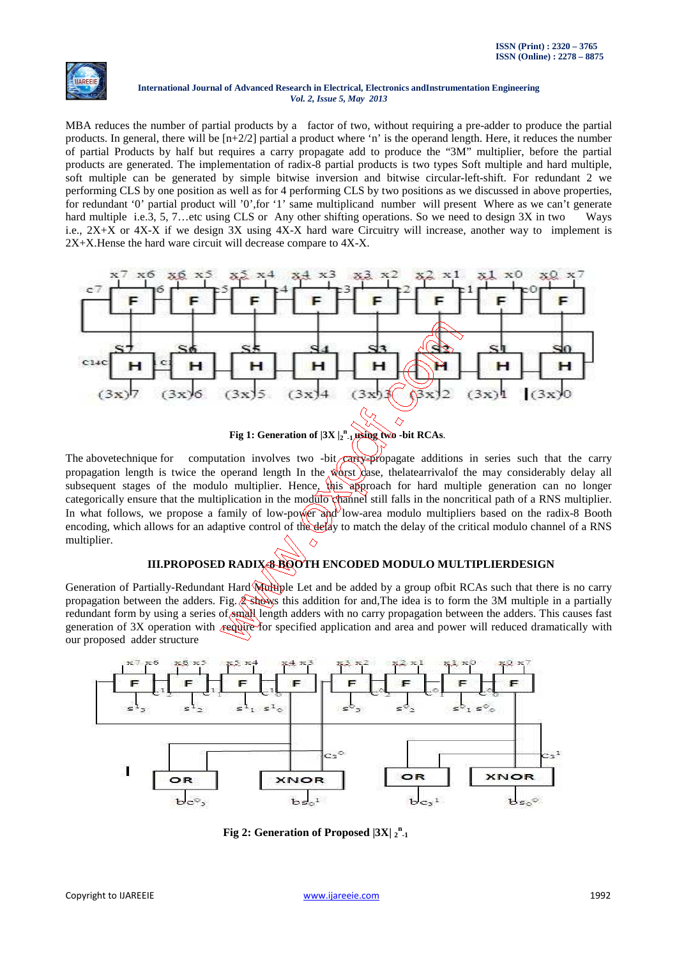

MBA reduces the number of partial products by a factor of two, without requiring a pre-adder to produce the partial products. In general, there will be  $[n+2/2]$  partial a product where 'n' is the operand length. Here, it reduces the number of partial Products by half but requires a carry propagate add to produce the "3M" multiplier, before the partial products are generated. The implementation of radix-8 partial products is two types Soft multiple and hard multiple, soft multiple can be generated by simple bitwise inversion and bitwise circular-left-shift. For redundant 2 we performing CLS by one position as well as for 4 performing CLS by two positions as we discussed in above properties, for redundant '0' partial product will '0',for '1' same multiplicand number will present Where as we can't generate hard multiple i.e.3, 5, 7...etc using CLS or Any other shifting operations. So we need to design 3X in two Ways i.e., 2X+X or 4X-X if we design 3X using 4X-X hard ware Circuitry will increase, another way to implement is 2X+X.Hense the hard ware circuit will decrease compare to 4X-X.



The abovetechnique for computation involves two -bit  $\widehat{carly}$ -propagate additions in series such that the carry propagation length is twice the operand length In the worst case, the latearrival of the may considerably delay all subsequent stages of the modulo multiplier. Hence, this approach for hard multiple generation can no longer categorically ensure that the multiplication in the modulo channel still falls in the noncritical path of a RNS multiplier. In what follows, we propose a family of low-power and low-area modulo multipliers based on the radix-8 Booth encoding, which allows for an adaptive control of the delay to match the delay of the critical modulo channel of a RNS multiplier.

# **III.PROPOSED RADIX-8 BOOTH ENCODED MODULO MULTIPLIERDESIGN**

Generation of Partially-Redundant Hard Multiple Let and be added by a group ofbit RCAs such that there is no carry propagation between the adders. Fig.  $\circled{,}$  shows this addition for and,The idea is to form the 3M multiple in a partially redundant form by using a series of small length adders with no carry propagation between the adders. This causes fast generation of 3X operation with require for specified application and area and power will reduced dramatically with our proposed adder structure



**Fig 2: Generation of Proposed**  $|3X|_{2}$ **<sup>n</sup><sub>1</sub>**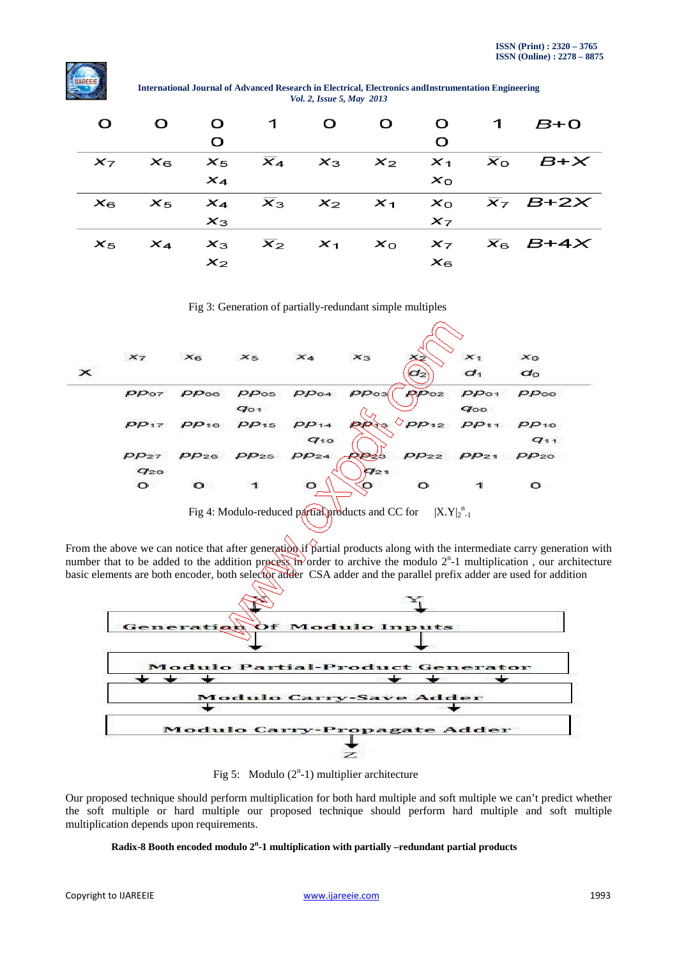

**International Journal of Advanced Research in Electrical, Electronics andInstrumentation Engineering**  *Vol. 2, Issue 5, May 2013*

| $\mathbf{O}$ | $\mathbf{O}$ |       | $0 \quad 1 \quad 0$ | $\mathbf{O}$ |          | $0 \t 1 \t B+0$                                                               |
|--------------|--------------|-------|---------------------|--------------|----------|-------------------------------------------------------------------------------|
|              |              | O     |                     |              | $\Omega$ |                                                                               |
|              |              |       |                     |              |          | $x_7$ $x_6$ $x_5$ $\overline{x}_4$ $x_3$ $x_2$ $x_1$ $\overline{x}_0$ $B + X$ |
|              |              | $x_4$ |                     |              | $x_{0}$  |                                                                               |
|              |              |       |                     |              |          | $x_6$ $x_5$ $x_4$ $\overline{x}_3$ $x_2$ $x_1$ $x_0$ $\overline{x}_7$ $B+2x$  |
|              |              | $x_3$ |                     |              | $x_7$    |                                                                               |
|              |              |       |                     |              |          | $x_5$ $x_4$ $x_3$ $\overline{x}_2$ $x_1$ $x_0$ $x_7$ $\overline{x}_6$ $B+4x$  |
|              |              | $x_2$ |                     |              | $x_{6}$  |                                                                               |

Fig 3: Generation of partially-redundant simple multiples



Fig 4: Modulo-reduced partial products and CC for n -1

From the above we can notice that after generation if partial products along with the intermediate carry generation with number that to be added to the addition process in order to archive the modulo  $2<sup>n</sup>$ -1 multiplication, our architecture basic elements are both encoder, both selector adder CSA adder and the parallel prefix adder are used for addition



Fig 5: Modulo  $(2^n-1)$  multiplier architecture

Our proposed technique should perform multiplication for both hard multiple and soft multiple we can't predict whether the soft multiple or hard multiple our proposed technique should perform hard multiple and soft multiple multiplication depends upon requirements.

#### **Radix-8 Booth encoded modulo 2<sup>n</sup> -1 multiplication with partially –redundant partial products**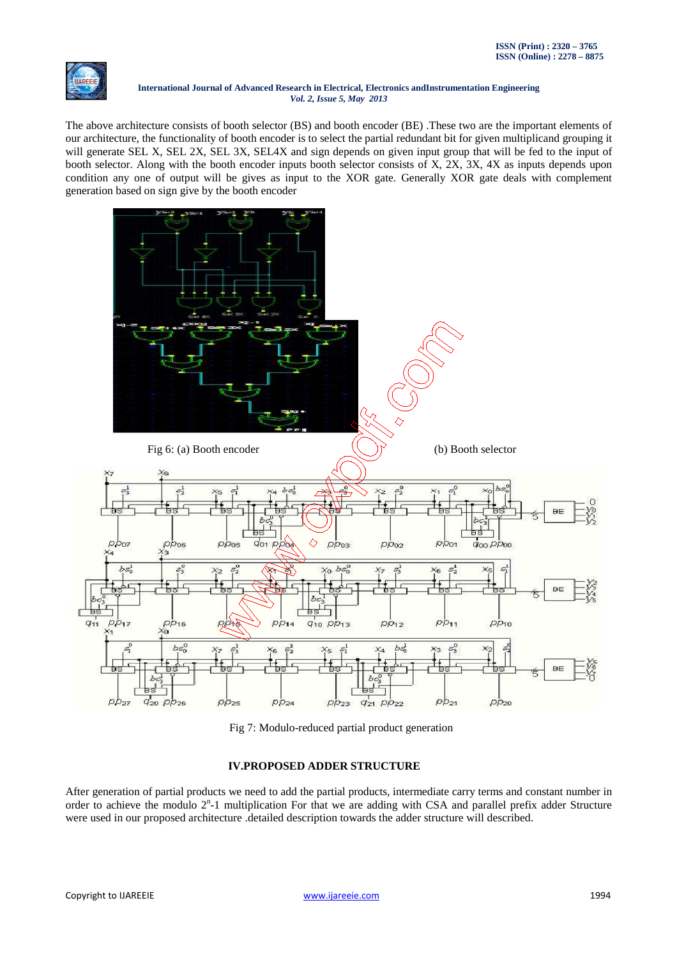

The above architecture consists of booth selector (BS) and booth encoder (BE) .These two are the important elements of our architecture, the functionality of booth encoder is to select the partial redundant bit for given multiplicand grouping it will generate SEL X, SEL 2X, SEL 3X, SEL4X and sign depends on given input group that will be fed to the input of booth selector. Along with the booth encoder inputs booth selector consists of X, 2X, 3X, 4X as inputs depends upon condition any one of output will be gives as input to the XOR gate. Generally XOR gate deals with complement generation based on sign give by the booth encoder



Fig 7: Modulo-reduced partial product generation

# **IV.PROPOSED ADDER STRUCTURE**

After generation of partial products we need to add the partial products, intermediate carry terms and constant number in order to achieve the modulo 2<sup>n</sup>-1 multiplication For that we are adding with CSA and parallel prefix adder Structure were used in our proposed architecture .detailed description towards the adder structure will described.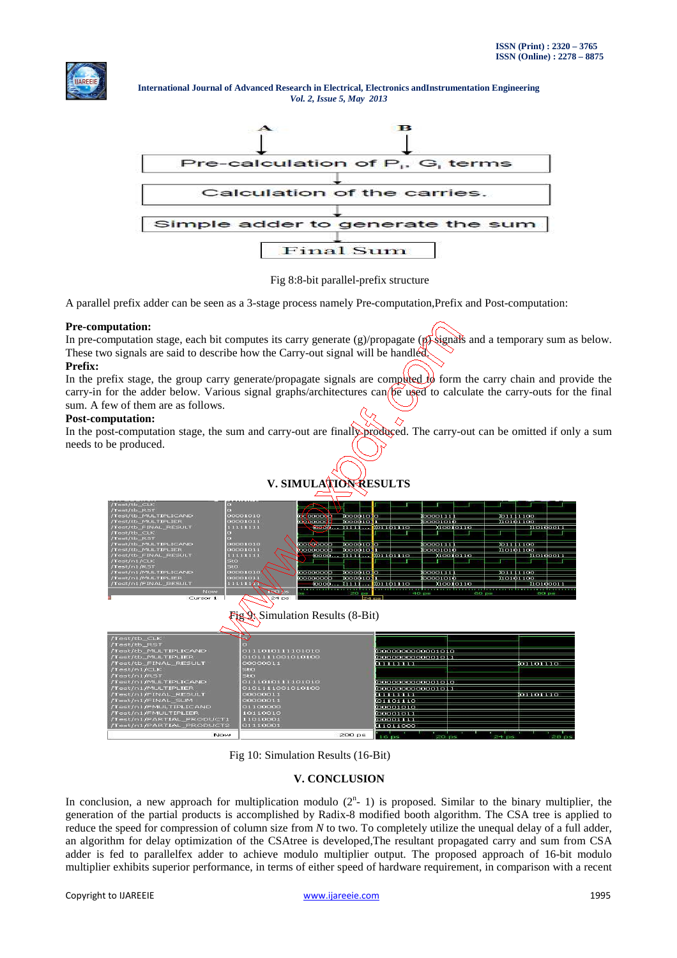



Fig 8:8-bit parallel-prefix structure

A parallel prefix adder can be seen as a 3-stage process namely Pre-computation,Prefix and Post-computation:

#### **Pre-computation:**

In pre-computation stage, each bit computes its carry generate  $(g)/$ propagate  $(p)$  signals and a temporary sum as below. These two signals are said to describe how the Carry-out signal will be handled.

#### **Prefix:**

In the prefix stage, the group carry generate/propagate signals are computed  $\mathcal{U}_0$  form the carry chain and provide the carry-in for the adder below. Various signal graphs/architectures can  $\beta e$  used to calculate the carry-outs for the final sum. A few of them are as follows.

#### **Post-computation:**

In the post-computation stage, the sum and carry-out are finally produced. The carry-out can be omitted if only a sum needs to be produced.





200 ps

Fig 10: Simulation Results (16-Bit)

Nov

### **V. CONCLUSION**

In conclusion, a new approach for multiplication modulo  $(2<sup>n</sup> - 1)$  is proposed. Similar to the binary multiplier, the generation of the partial products is accomplished by Radix-8 modified booth algorithm. The CSA tree is applied to reduce the speed for compression of column size from *N* to two. To completely utilize the unequal delay of a full adder, an algorithm for delay optimization of the CSAtree is developed,The resultant propagated carry and sum from CSA adder is fed to parallelfex adder to achieve modulo multiplier output. The proposed approach of 16-bit modulo multiplier exhibits superior performance, in terms of either speed of hardware requirement, in comparison with a recent

 $\overline{\text{or}}$  ross to